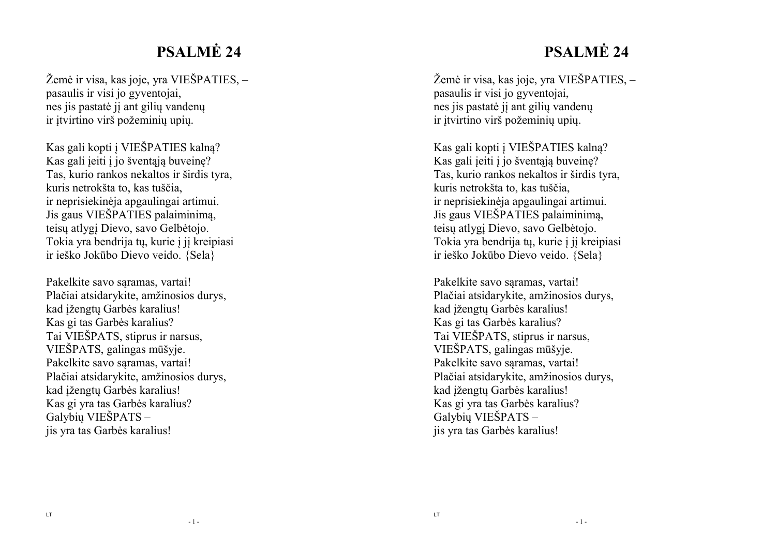# **PSALMĖ 24**

Žemė ir visa, kas joje, yra VIEŠPATIES, – pasaulis ir visi jo gyventojai, nes jis pastatė jį ant gilių vandenų ir įtvirtino virš požeminių upių.

Kas gali kopti į VIEŠPATIES kalną? Kas gali įeiti į jo šventąją buveinę? Tas, kurio rankos nekaltos ir širdis tyra, kuris netrokšta to, kas tuščia, ir neprisiekinėja apgaulingai artimui. Jis gaus VIEŠPATIES palaiminimą, teisų atlygį Dievo, savo Gelbėtojo. Tokia yra bendrija tų, kurie į jį kreipiasi ir ieško Jokūbo Dievo veido. {Sela}

Pakelkite savo saramas, vartai! Plačiai atsidarykite, amžinosios durys, kad įžengtų Garbės karalius! Kas gi tas Garbės karalius? Tai VIEŠPATS, stiprus ir narsus, VIEŠPATS, galingas mūšyje. Pakelkite savo sąramas, vartai! Plačiai atsidarykite, amžinosios durys, kad įžengtų Garbės karalius! Kas gi yra tas Garbės karalius? Galybių VIEŠPATS – jis yra tas Garbės karalius!

# **PSALMĖ 24**

Žemė ir visa, kas joje, yra VIEŠPATIES, – pasaulis ir visi jo gyventojai, nes jis pastatė jį ant gilių vandenų ir įtvirtino virš požeminių upių.

Kas gali kopti į VIEŠPATIES kalną? Kas gali įeiti į jo šventąją buveinę? Tas, kurio rankos nekaltos ir širdis tyra, kuris netrokšta to, kas tuščia, ir neprisiekinėja apgaulingai artimui. Jis gaus VIEŠPATIES palaiminimą, teisų atlygį Dievo, savo Gelbėtojo. Tokia yra bendrija tų, kurie į jį kreipiasi ir ieško Jokūbo Dievo veido. {Sela}

Pakelkite savo sąramas, vartai! Plačiai atsidarykite, amžinosios durys, kad įžengtų Garbės karalius! Kas gi tas Garbės karalius? Tai VIEŠPATS, stiprus ir narsus, VIEŠPATS, galingas mūšyje. Pakelkite savo sąramas, vartai! Plačiai atsidarykite, amžinosios durys, kad įžengtų Garbės karalius! Kas gi yra tas Garbės karalius? Galybių VIEŠPATS – jis yra tas Garbės karalius!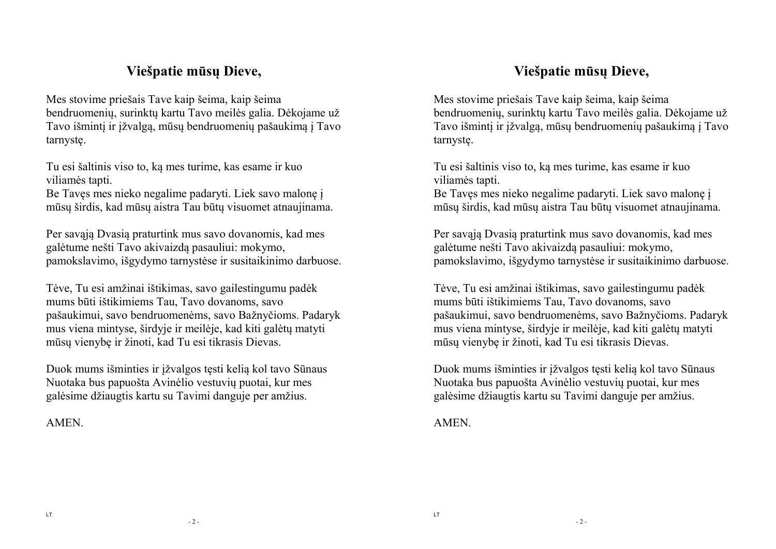### **Viešpatie mūsų Dieve,**

Mes stovime priešais Tave kaip šeima, kaip šeima bendruomenių, surinktų kartu Tavo meilės galia. Dėkojame už Tavo išmintį ir įžvalgą, mūsų bendruomenių pašaukimą į Tavo tarnystę.

Tu esi šaltinis viso to, ką mes turime, kas esame ir kuo viliamės tapti.

Be Tavęs mes nieko negalime padaryti. Liek savo malonę į mūsų širdis, kad mūsų aistra Tau būtų visuomet atnaujinama.

Per savąją Dvasią praturtink mus savo dovanomis, kad mes galėtume nešti Tavo akivaizdą pasauliui: mokymo, pamokslavimo, išgydymo tarnystėse ir susitaikinimo darbuose.

Tėve, Tu esi amžinai ištikimas, savo gailestingumu padėk mums būti ištikimiems Tau, Tavo dovanoms, savo pašaukimui, savo bendruomenėms, savo Bažnyčioms. Padaryk mus viena mintyse, širdyje ir meilėje, kad kiti galėtų matyti mūsų vienybę ir žinoti, kad Tu esi tikrasis Dievas.

Duok mums išminties ir įžvalgos tęsti kelią kol tavo Sūnaus Nuotaka bus papuošta Avinėlio vestuvių puotai, kur mes galėsime džiaugtis kartu su Tavimi danguje per amžius.

**AMEN** 

### **Viešpatie mūsų Dieve,**

Mes stovime priešais Tave kaip šeima, kaip šeima bendruomenių, surinktų kartu Tavo meilės galia. Dėkojame už Tavo išmintį ir įžvalgą, mūsų bendruomenių pašaukimą į Tavo tarnystę.

Tu esi šaltinis viso to, ką mes turime, kas esame ir kuo viliamės tapti.

Be Tavęs mes nieko negalime padaryti. Liek savo malonę į mūsų širdis, kad mūsų aistra Tau būtų visuomet atnaujinama.

Per savąją Dvasią praturtink mus savo dovanomis, kad mes galėtume nešti Tavo akivaizdą pasauliui: mokymo, pamokslavimo, išgydymo tarnystėse ir susitaikinimo darbuose.

Tėve, Tu esi amžinai ištikimas, savo gailestingumu padėk mums būti ištikimiems Tau, Tavo dovanoms, savo pašaukimui, savo bendruomenėms, savo Bažnyčioms. Padaryk mus viena mintyse, širdyje ir meilėje, kad kiti galėtų matyti mūsų vienybę ir žinoti, kad Tu esi tikrasis Dievas.

Duok mums išminties ir įžvalgos tęsti kelią kol tavo Sūnaus Nuotaka bus papuošta Avinėlio vestuvių puotai, kur mes galėsime džiaugtis kartu su Tavimi danguje per amžius.

**AMEN**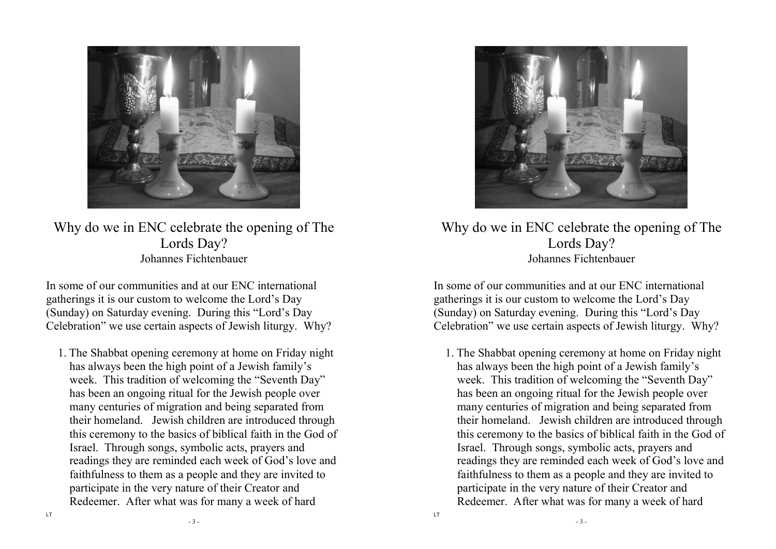

Why do we in ENC celebrate the opening of The Lords Day? Johannes Fichtenbauer

In some of our communities and at our ENC international gatherings it is our custom to welcome the Lord's Day (Sunday) on Saturday evening. During this "Lord's Day Celebration" we use certain aspects of Jewish liturgy. Why?

1. The Shabbat opening ceremony at home on Friday night has always been the high point of a Jewish family's week. This tradition of welcoming the "Seventh Day" has been an ongoing ritual for the Jewish people over many centuries of migration and being separated from their homeland. Jewish children are introduced through this ceremony to the basics of biblical faith in the God of Israel. Through songs, symbolic acts, prayers and readings they are reminded each week of God's love and faithfulness to them as a people and they are invited to participate in the very nature of their Creator andRedeemer. After what was for many a week of hard



Why do we in ENC celebrate the opening of The Lords Day? Johannes Fichtenbauer

In some of our communities and at our ENC international gatherings it is our custom to welcome the Lord's Day (Sunday) on Saturday evening. During this "Lord's Day Celebration" we use certain aspects of Jewish liturgy. Why?

1. The Shabbat opening ceremony at home on Friday night has always been the high point of a Jewish family's week. This tradition of welcoming the "Seventh Day" has been an ongoing ritual for the Jewish people over many centuries of migration and being separated from their homeland. Jewish children are introduced through this ceremony to the basics of biblical faith in the God of Israel. Through songs, symbolic acts, prayers and readings they are reminded each week of God's love and faithfulness to them as a people and they are invited to participate in the very nature of their Creator andRedeemer. After what was for many a week of hard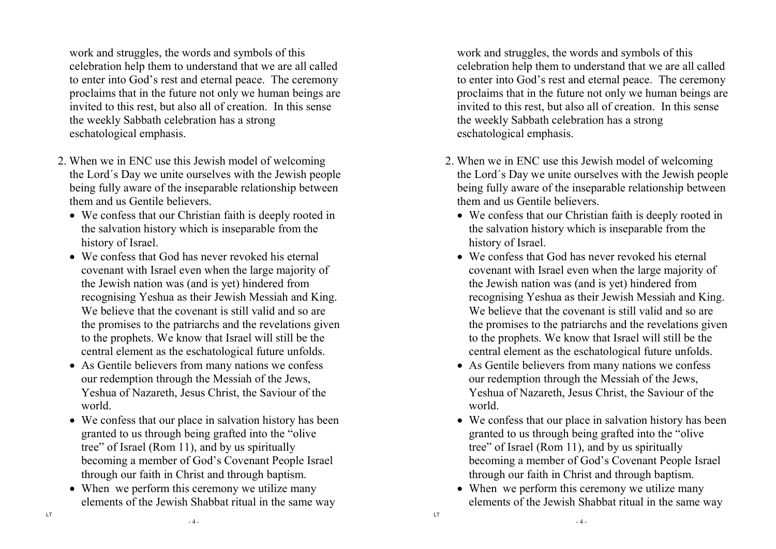work and struggles, the words and symbols of this celebration help them to understand that we are all called to enter into God's rest and eternal peace. The ceremony proclaims that in the future not only we human beings are invited to this rest, but also all of creation. In this sense the weekly Sabbath celebration has a strong eschatological emphasis.

- 2. When we in ENC use this Jewish model of welcoming the Lord´s Day we unite ourselves with the Jewish people being fully aware of the inseparable relationship between them and us Gentile believers.
	- We confess that our Christian faith is deeply rooted in the salvation history which is inseparable from thehistory of Israel.
	- We confess that God has never revoked his eternal covenant with Israel even when the large majority of the Jewish nation was (and is yet) hindered from recognising Yeshua as their Jewish Messiah and King. We believe that the covenant is still valid and so are the promises to the patriarchs and the revelations given to the prophets. We know that Israel will still be the central element as the eschatological future unfolds.
	- As Gentile believers from many nations we confess our redemption through the Messiah of the Jews, Yeshua of Nazareth, Jesus Christ, the Saviour of the world.
	- We confess that our place in salvation history has been granted to us through being grafted into the "olivetree" of Israel (Rom 11), and by us spiritually becoming a member of God's Covenant People Israel through our faith in Christ and through baptism.
	- When we perform this ceremony we utilize many elements of the Jewish Shabbat ritual in the same way

work and struggles, the words and symbols of this celebration help them to understand that we are all called to enter into God's rest and eternal peace. The ceremony proclaims that in the future not only we human beings are invited to this rest, but also all of creation. In this sense the weekly Sabbath celebration has a strong eschatological emphasis.

- 2. When we in ENC use this Jewish model of welcoming the Lord´s Day we unite ourselves with the Jewish people being fully aware of the inseparable relationship between them and us Gentile believers.
	- We confess that our Christian faith is deeply rooted in the salvation history which is inseparable from thehistory of Israel.
	- We confess that God has never revoked his eternal covenant with Israel even when the large majority of the Jewish nation was (and is yet) hindered from recognising Yeshua as their Jewish Messiah and King. We believe that the covenant is still valid and so are the promises to the patriarchs and the revelations given to the prophets. We know that Israel will still be the central element as the eschatological future unfolds.
	- As Gentile believers from many nations we confess our redemption through the Messiah of the Jews, Yeshua of Nazareth, Jesus Christ, the Saviour of the world.
	- We confess that our place in salvation history has been granted to us through being grafted into the "olivetree" of Israel (Rom 11), and by us spiritually becoming a member of God's Covenant People Israel through our faith in Christ and through baptism.
	- When we perform this ceremony we utilize many elements of the Jewish Shabbat ritual in the same way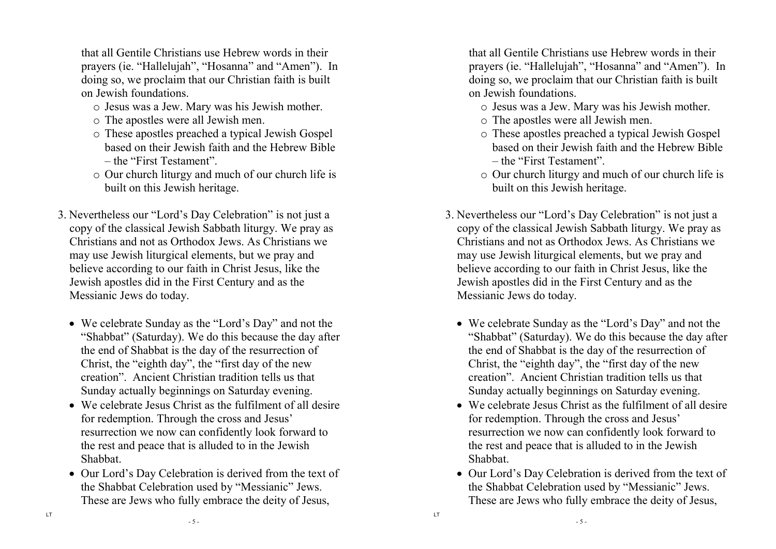that all Gentile Christians use Hebrew words in their prayers (ie. "Hallelujah", "Hosanna" and "Amen"). In doing so, we proclaim that our Christian faith is built on Jewish foundations.

- o Jesus was a Jew. Mary was his Jewish mother.
- o The apostles were all Jewish men.
- o These apostles preached a typical Jewish Gospel based on their Jewish faith and the Hebrew Bible – the "First Testament".
- o Our church liturgy and much of our church life is built on this Jewish heritage.
- 3. Nevertheless our "Lord's Day Celebration" is not just a copy of the classical Jewish Sabbath liturgy. We pray as Christians and not as Orthodox Jews. As Christians we may use Jewish liturgical elements, but we pray and believe according to our faith in Christ Jesus, like the Jewish apostles did in the First Century and as theMessianic Jews do today.
	- We celebrate Sunday as the "Lord's Day" and not the "Shabbat" (Saturday). We do this because the day after the end of Shabbat is the day of the resurrection of Christ, the "eighth day", the "first day of the new creation". Ancient Christian tradition tells us that Sunday actually beginnings on Saturday evening.
	- We celebrate Jesus Christ as the fulfilment of all desire for redemption. Through the cross and Jesus' resurrection we now can confidently look forward tothe rest and peace that is alluded to in the JewishShabbat.
	- Our Lord's Day Celebration is derived from the text of the Shabbat Celebration used by "Messianic" Jews. These are Jews who fully embrace the deity of Jesus,

that all Gentile Christians use Hebrew words in their prayers (ie. "Hallelujah", "Hosanna" and "Amen"). In doing so, we proclaim that our Christian faith is built on Jewish foundations.

- o Jesus was a Jew. Mary was his Jewish mother.
- o The apostles were all Jewish men.
- o These apostles preached a typical Jewish Gospel based on their Jewish faith and the Hebrew Bible – the "First Testament".
- o Our church liturgy and much of our church life is built on this Jewish heritage.
- 3. Nevertheless our "Lord's Day Celebration" is not just a copy of the classical Jewish Sabbath liturgy. We pray as Christians and not as Orthodox Jews. As Christians we may use Jewish liturgical elements, but we pray and believe according to our faith in Christ Jesus, like the Jewish apostles did in the First Century and as theMessianic Jews do today.
	- We celebrate Sunday as the "Lord's Day" and not the "Shabbat" (Saturday). We do this because the day after the end of Shabbat is the day of the resurrection of Christ, the "eighth day", the "first day of the new creation". Ancient Christian tradition tells us that Sunday actually beginnings on Saturday evening.
	- We celebrate Jesus Christ as the fulfilment of all desire for redemption. Through the cross and Jesus' resurrection we now can confidently look forward tothe rest and peace that is alluded to in the JewishShabbat.
	- Our Lord's Day Celebration is derived from the text of the Shabbat Celebration used by "Messianic" Jews. These are Jews who fully embrace the deity of Jesus,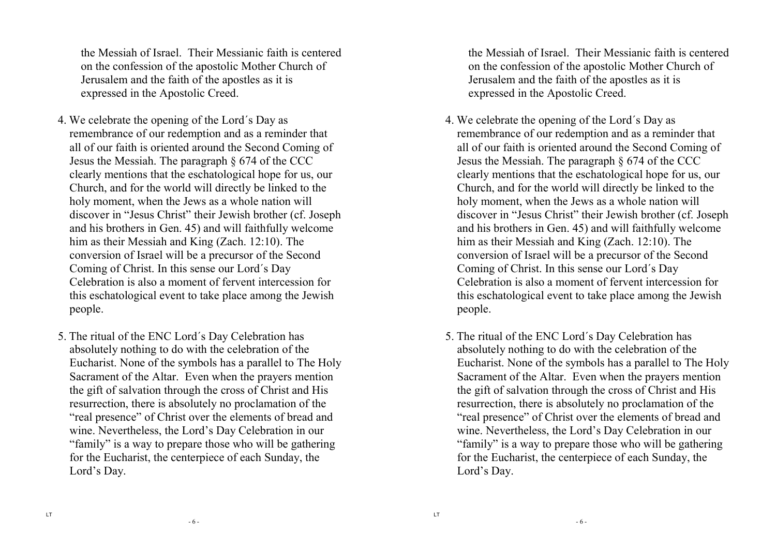the Messiah of Israel. Their Messianic faith is centered on the confession of the apostolic Mother Church ofJerusalem and the faith of the apostles as it is expressed in the Apostolic Creed.

- 4. We celebrate the opening of the Lord´s Day as remembrance of our redemption and as a reminder that all of our faith is oriented around the Second Coming of Jesus the Messiah. The paragraph § 674 of the CCC clearly mentions that the eschatological hope for us, our Church, and for the world will directly be linked to the holy moment, when the Jews as a whole nation will discover in "Jesus Christ" their Jewish brother (cf. Joseph and his brothers in Gen. 45) and will faithfully welcome him as their Messiah and King (Zach. 12:10). The conversion of Israel will be a precursor of the Second Coming of Christ. In this sense our Lord´s Day Celebration is also a moment of fervent intercession for this eschatological event to take place among the Jewish people.
- 5. The ritual of the ENC Lord´s Day Celebration has absolutely nothing to do with the celebration of the Eucharist. None of the symbols has a parallel to The Holy Sacrament of the Altar. Even when the prayers mention the gift of salvation through the cross of Christ and His resurrection, there is absolutely no proclamation of the "real presence" of Christ over the elements of bread and wine. Nevertheless, the Lord's Day Celebration in our "family" is a way to prepare those who will be gathering for the Eucharist, the centerpiece of each Sunday, the Lord's Day.

the Messiah of Israel. Their Messianic faith is centered on the confession of the apostolic Mother Church ofJerusalem and the faith of the apostles as it is expressed in the Apostolic Creed.

- 4. We celebrate the opening of the Lord´s Day as remembrance of our redemption and as a reminder that all of our faith is oriented around the Second Coming of Jesus the Messiah. The paragraph § 674 of the CCC clearly mentions that the eschatological hope for us, our Church, and for the world will directly be linked to the holy moment, when the Jews as a whole nation will discover in "Jesus Christ" their Jewish brother (cf. Joseph and his brothers in Gen. 45) and will faithfully welcome him as their Messiah and King (Zach. 12:10). The conversion of Israel will be a precursor of the Second Coming of Christ. In this sense our Lord´s Day Celebration is also a moment of fervent intercession for this eschatological event to take place among the Jewish people.
- 5. The ritual of the ENC Lord´s Day Celebration has absolutely nothing to do with the celebration of the Eucharist. None of the symbols has a parallel to The Holy Sacrament of the Altar. Even when the prayers mention the gift of salvation through the cross of Christ and His resurrection, there is absolutely no proclamation of the "real presence" of Christ over the elements of bread and wine. Nevertheless, the Lord's Day Celebration in our "family" is a way to prepare those who will be gathering for the Eucharist, the centerpiece of each Sunday, the Lord's Day.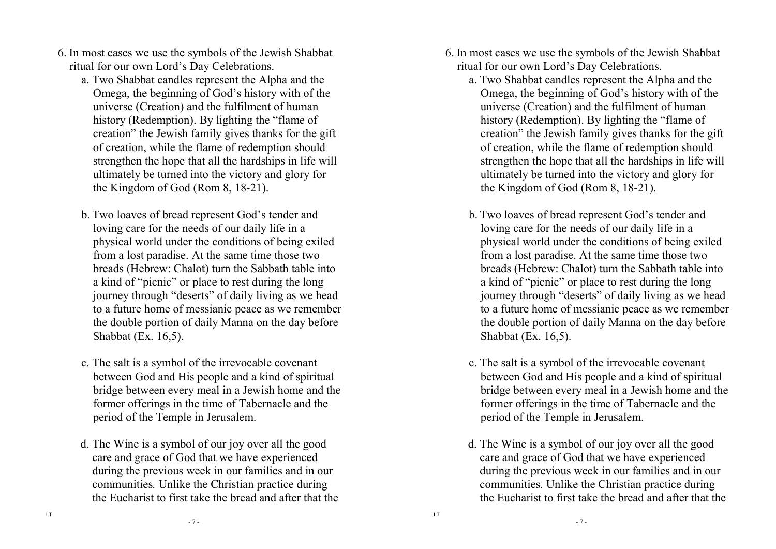- 6. In most cases we use the symbols of the Jewish Shabbat ritual for our own Lord's Day Celebrations.
	- a. Two Shabbat candles represent the Alpha and the Omega, the beginning of God's history with of the universe (Creation) and the fulfilment of human history (Redemption). By lighting the "flame of creation" the Jewish family gives thanks for the gift of creation, while the flame of redemption should strengthen the hope that all the hardships in life will ultimately be turned into the victory and glory forthe Kingdom of God (Rom 8, 18-21).
	- b. Two loaves of bread represent God's tender and loving care for the needs of our daily life in a physical world under the conditions of being exiledfrom a lost paradise. At the same time those two breads (Hebrew: Chalot) turn the Sabbath table intoa kind of "picnic" or place to rest during the long journey through "deserts" of daily living as we head to a future home of messianic peace as we remember the double portion of daily Manna on the day beforeShabbat (Ex. 16,5).
	- c. The salt is a symbol of the irrevocable covenant between God and His people and a kind of spiritual bridge between every meal in a Jewish home and the former offerings in the time of Tabernacle and the period of the Temple in Jerusalem.
	- d. The Wine is a symbol of our joy over all the good care and grace of God that we have experienced during the previous week in our families and in our communities*.* Unlike the Christian practice during the Eucharist to first take the bread and after that the
- 6. In most cases we use the symbols of the Jewish Shabbat ritual for our own Lord's Day Celebrations.
	- a. Two Shabbat candles represent the Alpha and the Omega, the beginning of God's history with of the universe (Creation) and the fulfilment of human history (Redemption). By lighting the "flame of creation" the Jewish family gives thanks for the gift of creation, while the flame of redemption should strengthen the hope that all the hardships in life will ultimately be turned into the victory and glory forthe Kingdom of God (Rom 8, 18-21).
	- b. Two loaves of bread represent God's tender and loving care for the needs of our daily life in a physical world under the conditions of being exiledfrom a lost paradise. At the same time those two breads (Hebrew: Chalot) turn the Sabbath table intoa kind of "picnic" or place to rest during the long journey through "deserts" of daily living as we head to a future home of messianic peace as we remember the double portion of daily Manna on the day beforeShabbat (Ex. 16,5).
	- c. The salt is a symbol of the irrevocable covenant between God and His people and a kind of spiritual bridge between every meal in a Jewish home and the former offerings in the time of Tabernacle and the period of the Temple in Jerusalem.
	- d. The Wine is a symbol of our joy over all the good care and grace of God that we have experienced during the previous week in our families and in our communities*.* Unlike the Christian practice during the Eucharist to first take the bread and after that the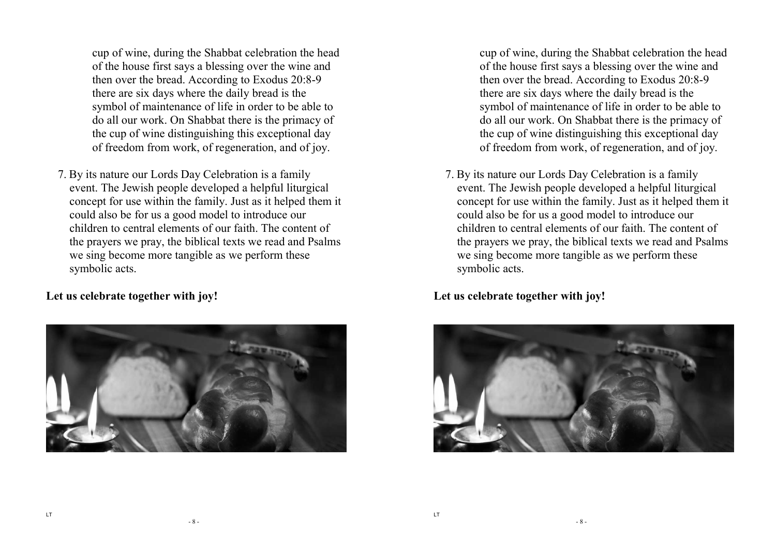cup of wine, during the Shabbat celebration the head of the house first says a blessing over the wine and then over the bread. According to Exodus 20:8-9 there are six days where the daily bread is the symbol of maintenance of life in order to be able to do all our work. On Shabbat there is the primacy of the cup of wine distinguishing this exceptional dayof freedom from work, of regeneration, and of joy.

7. By its nature our Lords Day Celebration is a family event. The Jewish people developed a helpful liturgical concept for use within the family. Just as it helped them it could also be for us a good model to introduce our children to central elements of our faith. The content of the prayers we pray, the biblical texts we read and Psalms we sing become more tangible as we perform these symbolic acts.

**Let us celebrate together with joy!** 



cup of wine, during the Shabbat celebration the head of the house first says a blessing over the wine and then over the bread. According to Exodus 20:8-9 there are six days where the daily bread is the symbol of maintenance of life in order to be able to do all our work. On Shabbat there is the primacy of the cup of wine distinguishing this exceptional dayof freedom from work, of regeneration, and of joy.

7. By its nature our Lords Day Celebration is a family event. The Jewish people developed a helpful liturgical concept for use within the family. Just as it helped them it could also be for us a good model to introduce our children to central elements of our faith. The content of the prayers we pray, the biblical texts we read and Psalms we sing become more tangible as we perform these symbolic acts.

**Let us celebrate together with joy!** 

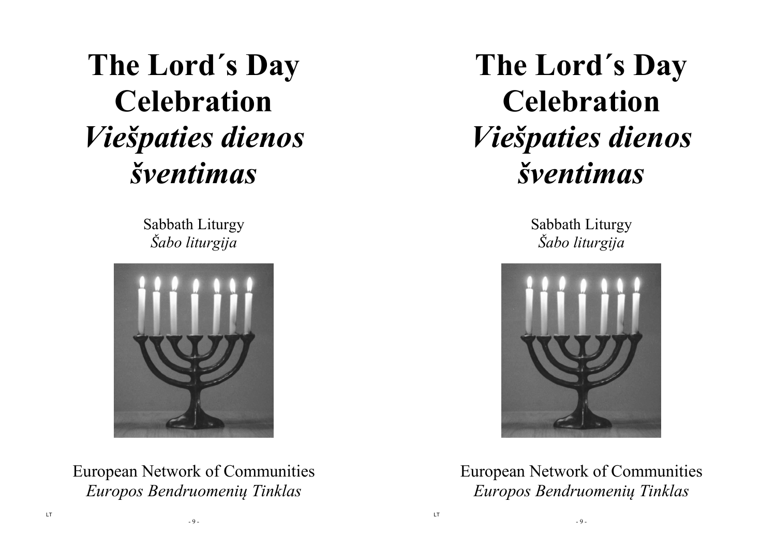# **The Lord´s Day Celebration** *Viešpaties dienos šventimas*

Sabbath Liturgy *Šabo liturgija* 



European Network of Communities *Europos Bendruomenių Tinklas* 

**The Lord´s Day Celebration** *Viešpaties dienos šventimas* 

> Sabbath Liturgy *Šabo liturgija*



European Network of Communities *Europos Bendruomenių Tinklas* 

- 9 -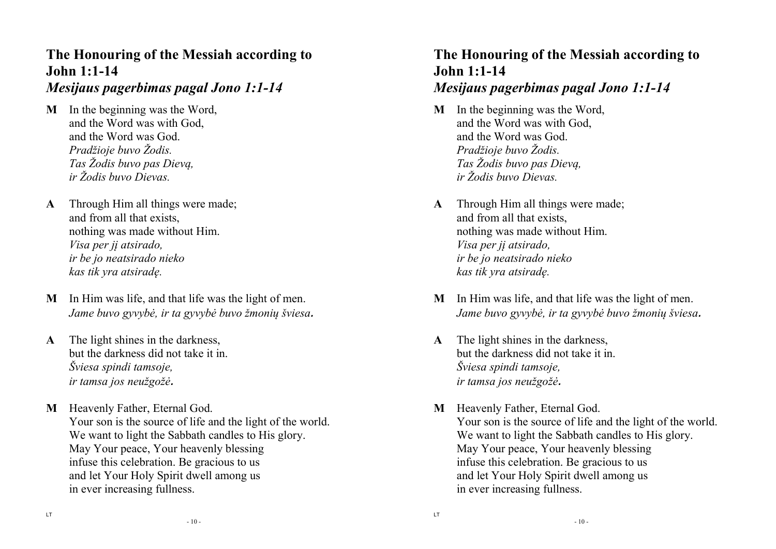# **The Honouring of the Messiah according to John 1:1-14**

#### *Mesijaus pagerbimas pagal Jono 1:1-14*

- **M** In the beginning was the Word, and the Word was with God, and the Word was God. *Pradžioje buvo Žodis. Tas Žodis buvo pas Dievą, ir Žodis buvo Dievas.*
- **A** Through Him all things were made; and from all that exists, nothing was made without Him. *Visa per jį atsirado, ir be jo neatsirado nieko kas tik yra atsiradę.*
- **M** In Him was life, and that life was the light of men. *Jame buvo gyvybė, ir ta gyvybė buvo žmonių šviesa.*
- **A** The light shines in the darkness, but the darkness did not take it in. *Šviesa spindi tamsoje, ir tamsa jos neužgožė.*
- **M** Heavenly Father, Eternal God. Your son is the source of life and the light of the world. We want to light the Sabbath candles to His glory. May Your peace, Your heavenly blessing infuse this celebration. Be gracious to us and let Your Holy Spirit dwell among us in ever increasing fullness.

# **The Honouring of the Messiah according to John 1:1-14**

# *Mesijaus pagerbimas pagal Jono 1:1-14*

- **M** In the beginning was the Word, and the Word was with God, and the Word was God. *Pradžioje buvo Žodis. Tas Žodis buvo pas Dievą, ir Žodis buvo Dievas.*
- **A** Through Him all things were made; and from all that exists, nothing was made without Him. *Visa per jį atsirado, ir be jo neatsirado nieko kas tik yra atsiradę.*
- **M** In Him was life, and that life was the light of men. *Jame buvo gyvybė, ir ta gyvybė buvo žmonių šviesa.*
- **A** The light shines in the darkness, but the darkness did not take it in. *Šviesa spindi tamsoje, ir tamsa jos neužgožė.*
- **M** Heavenly Father, Eternal God. Your son is the source of life and the light of the world. We want to light the Sabbath candles to His glory. May Your peace, Your heavenly blessing infuse this celebration. Be gracious to us and let Your Holy Spirit dwell among us in ever increasing fullness.

- 10 -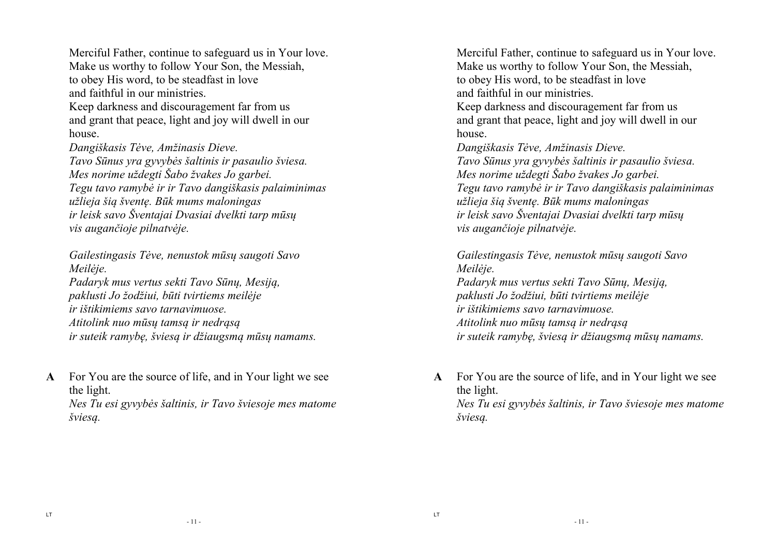Merciful Father, continue to safeguard us in Your love. Make us worthy to follow Your Son, the Messiah, to obey His word, to be steadfast in love and faithful in our ministries. Keep darkness and discouragement far from us and grant that peace, light and joy will dwell in our house. *Dangiškasis Tėve, Amžinasis Dieve. Tavo Sūnus yra gyvybės šaltinis ir pasaulio šviesa.Mes norime uždegti Šabo žvakes Jo garbei. Tegu tavo ramybė ir ir Tavo dangiškasis palaiminimas užlieja šią šventę. Būk mums maloningas* 

*ir leisk savo Šventajai Dvasiai dvelkti tarp mūsų vis augančioje pilnatvėje.* 

*Gailestingasis Tėve, nenustok mūsų saugoti Savo Meilėje.* 

*Padaryk mus vertus sekti Tavo Sūnų, Mesiją, paklusti Jo žodžiui, būti tvirtiems meilėje ir ištikimiems savo tarnavimuose. Atitolink nuo mūsų tamsą ir nedrąsą ir suteik ramybę, šviesą ir džiaugsmą mūsų namams.* 

**A** For You are the source of life, and in Your light we see the light. *Nes Tu esi gyvybės šaltinis, ir Tavo šviesoje mes matome šviesą.* 

Merciful Father, continue to safeguard us in Your love. Make us worthy to follow Your Son, the Messiah, to obey His word, to be steadfast in love and faithful in our ministries. Keep darkness and discouragement far from us and grant that peace, light and joy will dwell in our

 house. *Dangiškasis Tėve, Amžinasis Dieve. Tavo Sūnus yra gyvybės šaltinis ir pasaulio šviesa.Mes norime uždegti Šabo žvakes Jo garbei. Tegu tavo ramybė ir ir Tavo dangiškasis palaiminimas užlieja šią šventę. Būk mums maloningas* 

*ir leisk savo Šventajai Dvasiai dvelkti tarp mūsų vis augančioje pilnatvėje.* 

*Gailestingasis Tėve, nenustok mūsų saugoti Savo Meilėje.* 

*Padaryk mus vertus sekti Tavo Sūnų, Mesiją, paklusti Jo žodžiui, būti tvirtiems meilėje ir ištikimiems savo tarnavimuose. Atitolink nuo mūsų tamsą ir nedrąsą ir suteik ramybę, šviesą ir džiaugsmą mūsų namams.* 

**A** For You are the source of life, and in Your light we see the light. *Nes Tu esi gyvybės šaltinis, ir Tavo šviesoje mes matome šviesą.*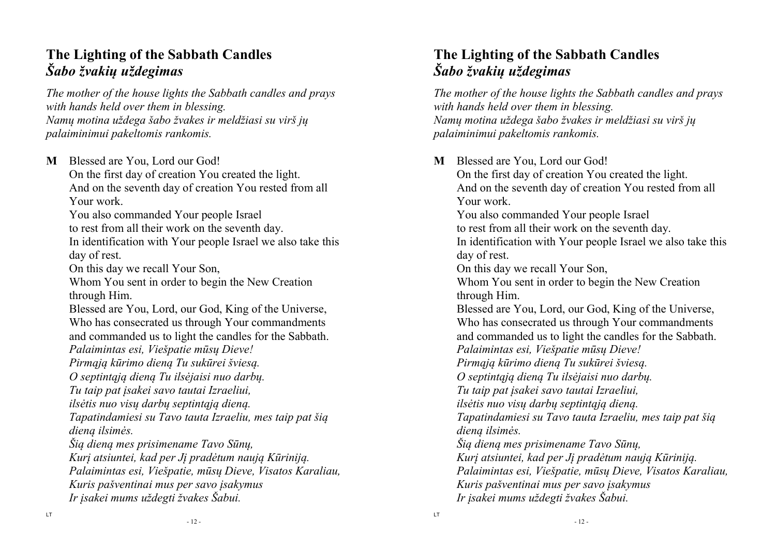# **The Lighting of the Sabbath Candles** *Šabo žvakių uždegimas*

*The mother of the house lights the Sabbath candles and prays with hands held over them in blessing. Namų motina uždega šabo žvakes ir meldžiasi su virš jų palaiminimui pakeltomis rankomis.* 

**M** Blessed are You, Lord our God! On the first day of creation You created the light.And on the seventh day of creation You rested from all Your work. You also commanded Your people Israel to rest from all their work on the seventh day. In identification with Your people Israel we also take this day of rest. On this day we recall Your Son, Whom You sent in order to begin the New Creation through Him. Blessed are You, Lord, our God, King of the Universe, Who has consecrated us through Your commandments and commanded us to light the candles for the Sabbath.  *Palaimintas esi, Viešpatie mūsų Dieve! Pirmąją kūrimo dieną Tu sukūrei šviesą. O septintąją dieną Tu ilsėjaisi nuo darbų. Tu taip pat įsakei savo tautai Izraeliui, ilsėtis nuo visų darbų septintąją dieną. Tapatindamiesi su Tavo tauta Izraeliu, mes taip pat šią dieną ilsimės. Šią dieną mes prisimename Tavo Sūnų, Kurį atsiuntei, kad per Jį pradėtum naują Kūriniją.Palaimintas esi, Viešpatie, mūsų Dieve, Visatos Karaliau, Kuris pašventinai mus per savo įsakymus Ir įsakei mums uždegti žvakes Šabui.* 

# **The Lighting of the Sabbath Candles** *Šabo žvakių uždegimas*

*The mother of the house lights the Sabbath candles and prays with hands held over them in blessing. Namų motina uždega šabo žvakes ir meldžiasi su virš jų palaiminimui pakeltomis rankomis.* 

**M** Blessed are You, Lord our God! On the first day of creation You created the light.And on the seventh day of creation You rested from all Your work. You also commanded Your people Israel to rest from all their work on the seventh day. In identification with Your people Israel we also take this day of rest. On this day we recall Your Son, Whom You sent in order to begin the New Creation through Him. Blessed are You, Lord, our God, King of the Universe, Who has consecrated us through Your commandments and commanded us to light the candles for the Sabbath.  *Palaimintas esi, Viešpatie mūsų Dieve! Pirmąją kūrimo dieną Tu sukūrei šviesą. O septintąją dieną Tu ilsėjaisi nuo darbų. Tu taip pat įsakei savo tautai Izraeliui, ilsėtis nuo visų darbų septintąją dieną. Tapatindamiesi su Tavo tauta Izraeliu, mes taip pat šią dieną ilsimės. Šią dieną mes prisimename Tavo Sūnų, Kurį atsiuntei, kad per Jį pradėtum naują Kūriniją.Palaimintas esi, Viešpatie, mūsų Dieve, Visatos Karaliau, Kuris pašventinai mus per savo įsakymus Ir įsakei mums uždegti žvakes Šabui.*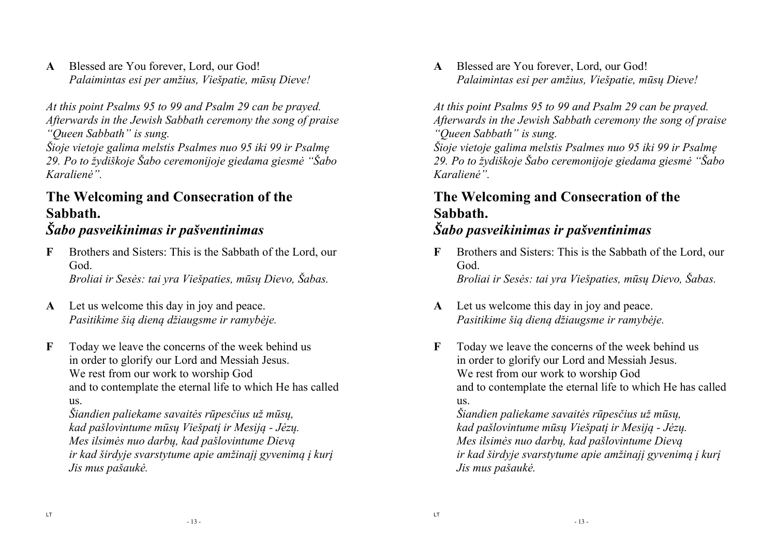**A** Blessed are You forever, Lord, our God! *Palaimintas esi per amžius, Viešpatie, mūsų Dieve!* 

*At this point Psalms 95 to 99 and Psalm 29 can be prayed. Afterwards in the Jewish Sabbath ceremony the song of praise "Queen Sabbath" is sung.*

 *Šioje vietoje galima melstis Psalmes nuo 95 iki 99 ir Psalmę 29. Po to žydiškoje Šabo ceremonijoje giedama giesmė "Šabo Karalienė".*

# **The Welcoming and Consecration of the Sabbath.**

## *Šabo pasveikinimas ir pašventinimas*

- **F** Brothers and Sisters: This is the Sabbath of the Lord, our God. *Broliai ir Sesės: tai yra Viešpaties, mūsų Dievo, Šabas.*
- **A** Let us welcome this day in joy and peace. *Pasitikime šią dieną džiaugsme ir ramybėje.*
- **F** Today we leave the concerns of the week behind us in order to glorify our Lord and Messiah Jesus. We rest from our work to worship God and to contemplate the eternal life to which He has called us.

*Šiandien paliekame savaitės rūpesčius už mūsų, kad pašlovintume mūsų Viešpatį ir Mesiją - Jėzų. Mes ilsimės nuo darbų, kad pašlovintume Dievą ir kad širdyje svarstytume apie amžinajį gyvenimą į kurį Jis mus pašaukė.* 

**A** Blessed are You forever, Lord, our God! *Palaimintas esi per amžius, Viešpatie, mūsų Dieve!* 

*At this point Psalms 95 to 99 and Psalm 29 can be prayed. Afterwards in the Jewish Sabbath ceremony the song of praise "Queen Sabbath" is sung.*

 *Šioje vietoje galima melstis Psalmes nuo 95 iki 99 ir Psalmę 29. Po to žydiškoje Šabo ceremonijoje giedama giesmė "Šabo Karalienė".*

# **The Welcoming and Consecration of the Sabbath.**

# *Šabo pasveikinimas ir pašventinimas*

- **F** Brothers and Sisters: This is the Sabbath of the Lord, our God. *Broliai ir Sesės: tai yra Viešpaties, mūsų Dievo, Šabas.*
- **A** Let us welcome this day in joy and peace. *Pasitikime šią dieną džiaugsme ir ramybėje.*
- **F** Today we leave the concerns of the week behind us in order to glorify our Lord and Messiah Jesus. We rest from our work to worship God and to contemplate the eternal life to which He has called us. *Šiandien paliekame savaitės rūpesčius už mūsų,*

 *kad pašlovintume mūsų Viešpatį ir Mesiją - Jėzų. Mes ilsimės nuo darbų, kad pašlovintume Dievą ir kad širdyje svarstytume apie amžinajį gyvenimą į kurį Jis mus pašaukė.*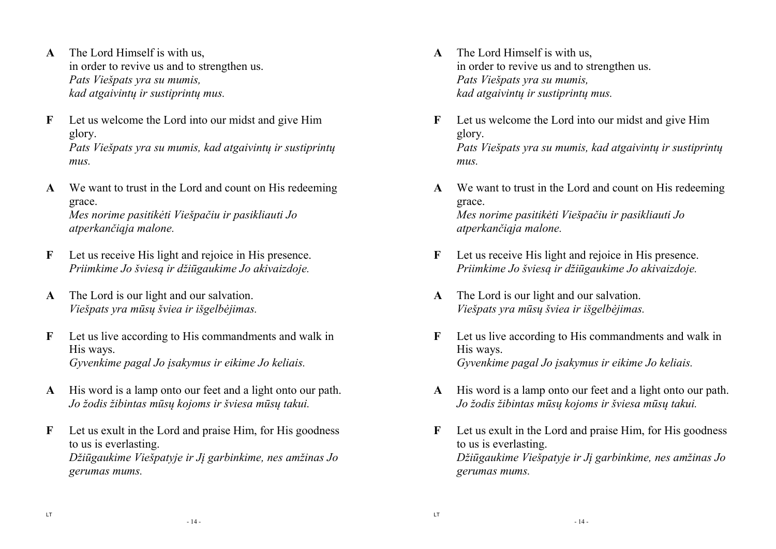- **A** The Lord Himself is with us, in order to revive us and to strengthen us. *Pats Viešpats yra su mumis, kad atgaivintų ir sustiprintų mus.*
- **F** Let us welcome the Lord into our midst and give Him glory. *Pats Viešpats yra su mumis, kad atgaivintų ir sustiprintų mus.*
- **A** We want to trust in the Lord and count on His redeeming grace. *Mes norime pasitikėti Viešpačiu ir pasikliauti Jo atperkančiąja malone.*
- **F** Let us receive His light and rejoice in His presence. *Priimkime Jo šviesą ir džiūgaukime Jo akivaizdoje.*
- **A** The Lord is our light and our salvation. *Viešpats yra mūsų šviea ir išgelbėjimas.*
- **F** Let us live according to His commandments and walk in His ways. *Gyvenkime pagal Jo įsakymus ir eikime Jo keliais.*
- **A** His word is a lamp onto our feet and a light onto our path. *Jo žodis žibintas mūsų kojoms ir šviesa mūsų takui.*
- **F** Let us exult in the Lord and praise Him, for His goodness to us is everlasting. *Džiūgaukime Viešpatyje ir Jį garbinkime, nes amžinas Jo gerumas mums.*
- **A** The Lord Himself is with us, in order to revive us and to strengthen us. *Pats Viešpats yra su mumis, kad atgaivintų ir sustiprintų mus.*
- **F** Let us welcome the Lord into our midst and give Him glory. *Pats Viešpats yra su mumis, kad atgaivintų ir sustiprintų mus.*
- **A** We want to trust in the Lord and count on His redeeming grace. *Mes norime pasitikėti Viešpačiu ir pasikliauti Jo atperkančiąja malone.*
- **F** Let us receive His light and rejoice in His presence. *Priimkime Jo šviesą ir džiūgaukime Jo akivaizdoje.*
- **A** The Lord is our light and our salvation. *Viešpats yra mūsų šviea ir išgelbėjimas.*
- **F** Let us live according to His commandments and walk in His ways. *Gyvenkime pagal Jo įsakymus ir eikime Jo keliais.*
- **A** His word is a lamp onto our feet and a light onto our path. *Jo žodis žibintas mūsų kojoms ir šviesa mūsų takui.*
- **F** Let us exult in the Lord and praise Him, for His goodness to us is everlasting. *Džiūgaukime Viešpatyje ir Jį garbinkime, nes amžinas Jo gerumas mums.*

- 14 -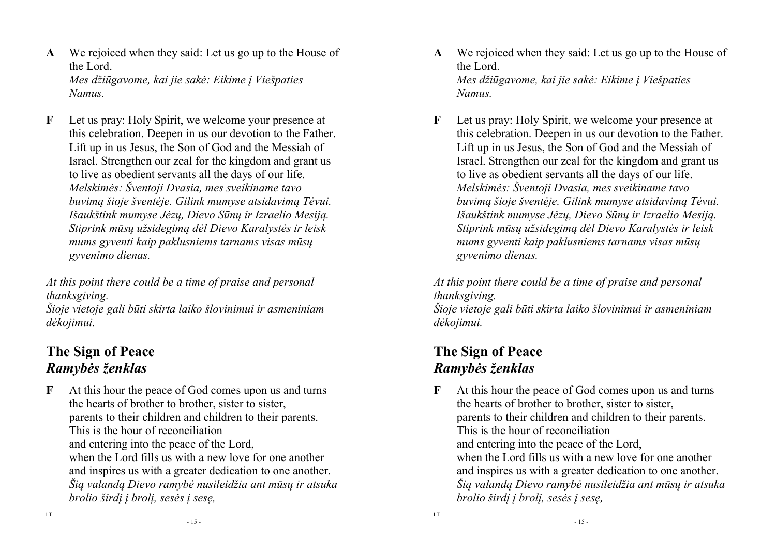- **A** We rejoiced when they said: Let us go up to the House of the Lord. *Mes džiūgavome, kai jie sakė: Eikime į Viešpaties Namus.*
- **F** Let us pray: Holy Spirit, we welcome your presence at this celebration. Deepen in us our devotion to the Father. Lift up in us Jesus, the Son of God and the Messiah of Israel. Strengthen our zeal for the kingdom and grant us to live as obedient servants all the days of our life. *Melskimės: Šventoji Dvasia, mes sveikiname tavo buvimą šioje šventėje. Gilink mumyse atsidavimą Tėvui. Išaukštink mumyse Jėzų, Dievo Sūnų ir Izraelio Mesiją. Stiprink mūsų užsidegimą dėl Dievo Karalystės ir leisk mums gyventi kaip paklusniems tarnams visas mūsų gyvenimo dienas.*

*At this point there could be a time of praise and personal thanksgiving.* 

*Šioje vietoje gali būti skirta laiko šlovinimui ir asmeniniam dėkojimui.* 

# **The Sign of Peace** *Ramybės ženklas*

**F** At this hour the peace of God comes upon us and turns the hearts of brother to brother, sister to sister,parents to their children and children to their parents. This is the hour of reconciliation and entering into the peace of the Lord, when the Lord fills us with a new love for one another and inspires us with a greater dedication to one another.  *Šią valandą Dievo ramybė nusileidžia ant mūsų ir atsuka brolio širdį į brolį, sesės į sesę,* 

- **A** We rejoiced when they said: Let us go up to the House of the Lord. *Mes džiūgavome, kai jie sakė: Eikime į Viešpaties Namus.*
- **F** Let us pray: Holy Spirit, we welcome your presence at this celebration. Deepen in us our devotion to the Father. Lift up in us Jesus, the Son of God and the Messiah of Israel. Strengthen our zeal for the kingdom and grant us to live as obedient servants all the days of our life. *Melskimės: Šventoji Dvasia, mes sveikiname tavo buvimą šioje šventėje. Gilink mumyse atsidavimą Tėvui. Išaukštink mumyse Jėzų, Dievo Sūnų ir Izraelio Mesiją. Stiprink mūsų užsidegimą dėl Dievo Karalystės ir leisk mums gyventi kaip paklusniems tarnams visas mūsų gyvenimo dienas.*

*At this point there could be a time of praise and personal thanksgiving.* 

*Šioje vietoje gali būti skirta laiko šlovinimui ir asmeniniam dėkojimui.* 

# **The Sign of Peace** *Ramybės ženklas*

LT

**F** At this hour the peace of God comes upon us and turns the hearts of brother to brother, sister to sister,parents to their children and children to their parents. This is the hour of reconciliation and entering into the peace of the Lord, when the Lord fills us with a new love for one another and inspires us with a greater dedication to one another.  *Šią valandą Dievo ramybė nusileidžia ant mūsų ir atsuka brolio širdį į brolį, sesės į sesę,* 

- 15 -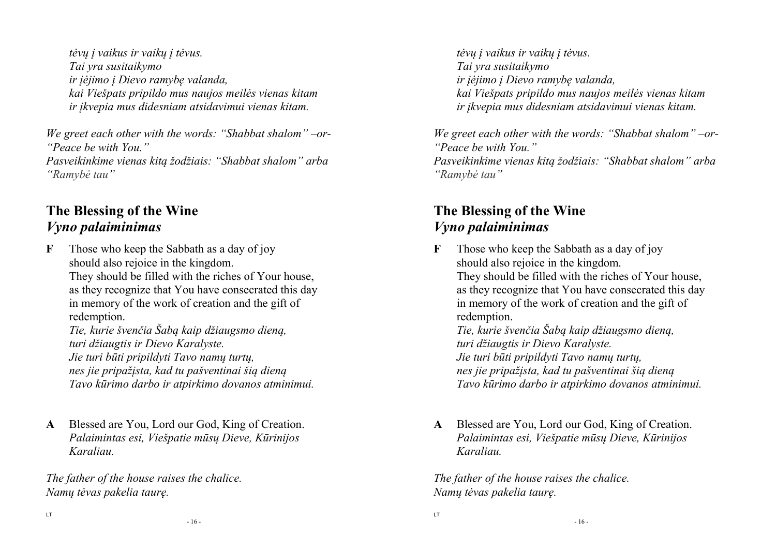*tėvų į vaikus ir vaikų į tėvus. Tai yra susitaikymo ir įėjimo į Dievo ramybę valanda, kai Viešpats pripildo mus naujos meilės vienas kitam ir įkvepia mus didesniam atsidavimui vienas kitam.* 

*We greet each other with the words: "Shabbat shalom" –or- "Peace be with You." Pasveikinkime vienas kitą žodžiais: "Shabbat shalom" arba* 

*"Ramybė tau"* 

## **The Blessing of the Wine** *Vyno palaiminimas*

**F** Those who keep the Sabbath as a day of joy should also rejoice in the kingdom. They should be filled with the riches of Your house, as they recognize that You have consecrated this day in memory of the work of creation and the gift of redemption.  *Tie, kurie švenčia Šabą kaip džiaugsmo dieną, turi džiaugtis ir Dievo Karalyste.* 

*Jie turi būti pripildyti Tavo namų turtų, nes jie pripažįsta, kad tu pašventinai šią dieną Tavo kūrimo darbo ir atpirkimo dovanos atminimui.* 

**A** Blessed are You, Lord our God, King of Creation.  *Palaimintas esi, Viešpatie mūsų Dieve, Kūrinijos Karaliau.* 

*The father of the house raises the chalice. Namų tėvas pakelia taurę.* 

*tėvų į vaikus ir vaikų į tėvus. Tai yra susitaikymo ir įėjimo į Dievo ramybę valanda, kai Viešpats pripildo mus naujos meilės vienas kitam ir įkvepia mus didesniam atsidavimui vienas kitam.* 

*We greet each other with the words: "Shabbat shalom" –or- "Peace be with You." Pasveikinkime vienas kitą žodžiais: "Shabbat shalom" arba "Ramybė tau"* 

# **The Blessing of the Wine** *Vyno palaiminimas*

- **F** Those who keep the Sabbath as a day of joy should also rejoice in the kingdom. They should be filled with the riches of Your house, as they recognize that You have consecrated this day in memory of the work of creation and the gift of redemption.  *Tie, kurie švenčia Šabą kaip džiaugsmo dieną, turi džiaugtis ir Dievo Karalyste. Jie turi būti pripildyti Tavo namų turtų, nes jie pripažįsta, kad tu pašventinai šią dieną Tavo kūrimo darbo ir atpirkimo dovanos atminimui.*
- **A** Blessed are You, Lord our God, King of Creation.  *Palaimintas esi, Viešpatie mūsų Dieve, Kūrinijos Karaliau.*

*The father of the house raises the chalice. Namų tėvas pakelia taurę.* 

LT

LT

- 16 -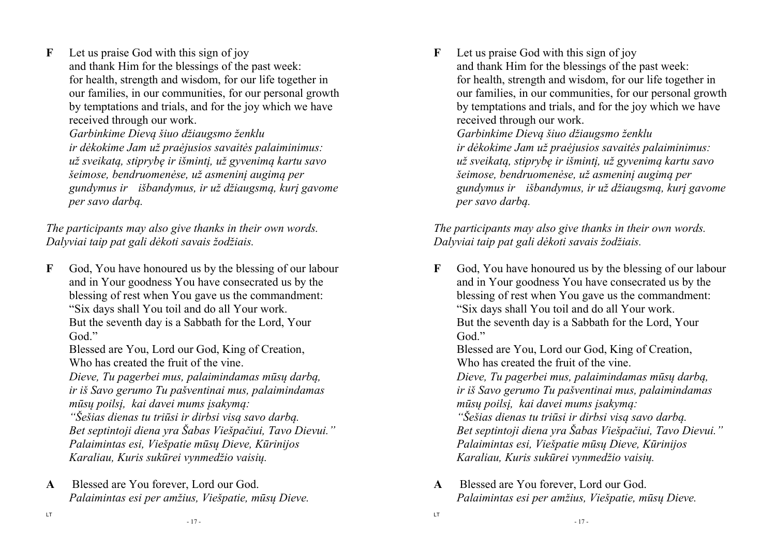**F** Let us praise God with this sign of joy and thank Him for the blessings of the past week: for health, strength and wisdom, for our life together in our families, in our communities, for our personal growth by temptations and trials, and for the joy which we have received through our work. *Garbinkime Dievą šiuo džiaugsmo ženklu ir dėkokime Jam už praėjusios savaitės palaiminimus: už sveikatą, stiprybę ir išmintį, už gyvenimą kartu savo* 

 *šeimose, bendruomenėse, už asmeninį augimą per gundymus ir išbandymus, ir už džiaugsmą, kurį gavome per savo darbą.* 

*The participants may also give thanks in their own words. Dalyviai taip pat gali dėkoti savais žodžiais.* 

**F** God, You have honoured us by the blessing of our labour and in Your goodness You have consecrated us by the blessing of rest when You gave us the commandment:"Six days shall You toil and do all Your work. But the seventh day is a Sabbath for the Lord, YourGod."

Blessed are You, Lord our God, King of Creation, Who has created the fruit of the vine.

*Dieve, Tu pagerbei mus, palaimindamas mūsų darbą, ir iš Savo gerumo Tu pašventinai mus, palaimindamas mūsų poilsį, kai davei mums įsakymą:* 

 *"Šešias dienas tu triūsi ir dirbsi visą savo darbą. Bet septintoji diena yra Šabas Viešpačiui, Tavo Dievui." Palaimintas esi, Viešpatie mūsų Dieve, Kūrinijos Karaliau, Kuris sukūrei vynmedžio vaisių.* 

**A** Blessed are You forever, Lord our God. *Palaimintas esi per amžius, Viešpatie, mūsų Dieve.*  **F** Let us praise God with this sign of joy and thank Him for the blessings of the past week: for health, strength and wisdom, for our life together in our families, in our communities, for our personal growth by temptations and trials, and for the joy which we have received through our work. *Garbinkime Dievą šiuo džiaugsmo ženklu ir dėkokime Jam už praėjusios savaitės palaiminimus: už sveikatą, stiprybę ir išmintį, už gyvenimą kartu savo šeimose, bendruomenėse, už asmeninį augimą per gundymus ir išbandymus, ir už džiaugsmą, kurį gavome* 

*The participants may also give thanks in their own words. Dalyviai taip pat gali dėkoti savais žodžiais.* 

 *per savo darbą.* 

**F** God, You have honoured us by the blessing of our labour and in Your goodness You have consecrated us by the blessing of rest when You gave us the commandment:"Six days shall You toil and do all Your work. But the seventh day is a Sabbath for the Lord, YourGod<sup>"</sup>

Blessed are You, Lord our God, King of Creation, Who has created the fruit of the vine. *Dieve, Tu pagerbei mus, palaimindamas mūsų darbą,* 

*ir iš Savo gerumo Tu pašventinai mus, palaimindamas mūsų poilsį, kai davei mums įsakymą:* 

*"Šešias dienas tu triūsi ir dirbsi visą savo darbą. Bet septintoji diena yra Šabas Viešpačiui, Tavo Dievui." Palaimintas esi, Viešpatie mūsų Dieve, Kūrinijos Karaliau, Kuris sukūrei vynmedžio vaisių.* 

**A** Blessed are You forever, Lord our God. *Palaimintas esi per amžius, Viešpatie, mūsų Dieve.* 

LT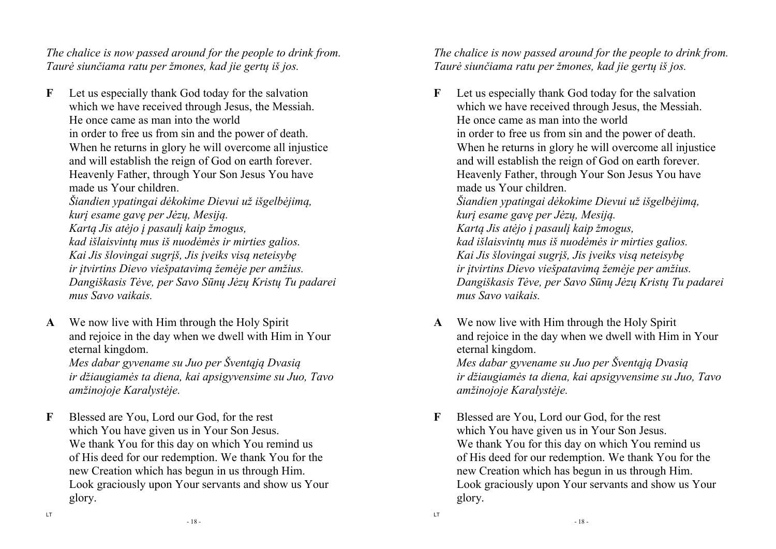*The chalice is now passed around for the people to drink from. Taurė siunčiama ratu per žmones, kad jie gertų iš jos.*

- **F** Let us especially thank God today for the salvation which we have received through Jesus, the Messiah. He once came as man into the world in order to free us from sin and the power of death. When he returns in glory he will overcome all injustice and will establish the reign of God on earth forever. Heavenly Father, through Your Son Jesus You have made us Your children. *Šiandien ypatingai dėkokime Dievui už išgelbėjimą, kurį esame gavę per Jėzų, Mesiją. Kartą Jis atėjo į pasaulį kaip žmogus, kad išlaisvintų mus iš nuodėmės ir mirties galios. Kai Jis šlovingai sugrįš, Jis įveiks visą neteisybę ir įtvirtins Dievo viešpatavimą žemėje per amžius. Dangiškasis Tėve, per Savo Sūnų Jėzų Kristų Tu padarei mus Savo vaikais.*
- **A** We now live with Him through the Holy Spirit and rejoice in the day when we dwell with Him in Your eternal kingdom.

 *Mes dabar gyvename su Juo per Šventąją Dvasią ir džiaugiamės ta diena, kai apsigyvensime su Juo, Tavo amžinojoje Karalystėje.* 

**F** Blessed are You, Lord our God, for the rest which You have given us in Your Son Jesus. We thank You for this day on which You remind us of His deed for our redemption. We thank You for the new Creation which has begun in us through Him. Look graciously upon Your servants and show us Yourglory.

*The chalice is now passed around for the people to drink from. Taurė siunčiama ratu per žmones, kad jie gertų iš jos.*

- **F** Let us especially thank God today for the salvation which we have received through Jesus, the Messiah. He once came as man into the world in order to free us from sin and the power of death. When he returns in glory he will overcome all injustice and will establish the reign of God on earth forever. Heavenly Father, through Your Son Jesus You have made us Your children. *Šiandien ypatingai dėkokime Dievui už išgelbėjimą, kurį esame gavę per Jėzų, Mesiją. Kartą Jis atėjo į pasaulį kaip žmogus, kad išlaisvintų mus iš nuodėmės ir mirties galios. Kai Jis šlovingai sugrįš, Jis įveiks visą neteisybę ir įtvirtins Dievo viešpatavimą žemėje per amžius. Dangiškasis Tėve, per Savo Sūnų Jėzų Kristų Tu padarei mus Savo vaikais.*
- **A** We now live with Him through the Holy Spirit and rejoice in the day when we dwell with Him in Your eternal kingdom. *Mes dabar gyvename su Juo per Šventąją Dvasią ir džiaugiamės ta diena, kai apsigyvensime su Juo, Tavo amžinojoje Karalystėje.*
- **F** Blessed are You, Lord our God, for the rest which You have given us in Your Son Jesus. We thank You for this day on which You remind us of His deed for our redemption. We thank You for the new Creation which has begun in us through Him. Look graciously upon Your servants and show us Yourglory.

- 18 -

LT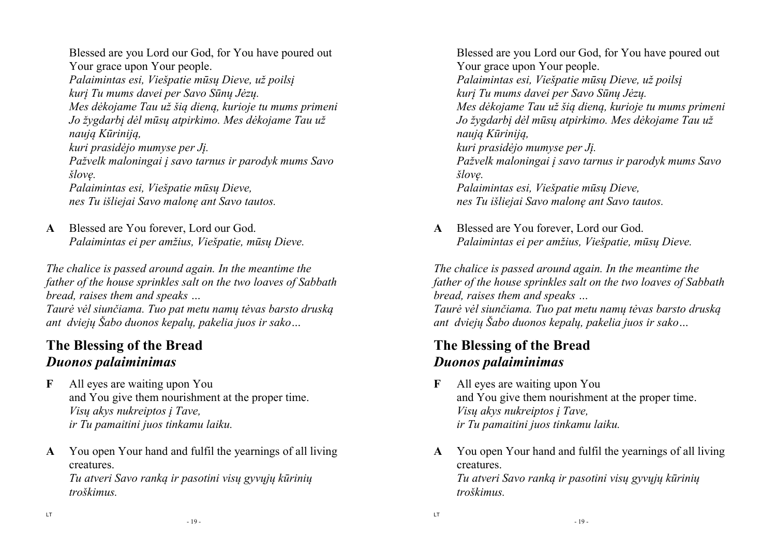Blessed are you Lord our God, for You have poured out Your grace upon Your people. *Palaimintas esi, Viešpatie mūsų Dieve, už poilsį kurį Tu mums davei per Savo Sūnų Jėzų. Mes dėkojame Tau už šią dieną, kurioje tu mums primeni Jo žygdarbį dėl mūsų atpirkimo. Mes dėkojame Tau už naują Kūriniją, kuri prasidėjo mumyse per Jį. Pažvelk maloningai į savo tarnus ir parodyk mums Savo šlovę. Palaimintas esi, Viešpatie mūsų Dieve, nes Tu išliejai Savo malonę ant Savo tautos.* 

**A** Blessed are You forever, Lord our God. *Palaimintas ei per amžius, Viešpatie, mūsų Dieve.* 

*The chalice is passed around again. In the meantime the father of the house sprinkles salt on the two loaves of Sabbath bread, raises them and speaks …* 

 *Taurė vėl siunčiama. Tuo pat metu namų tėvas barsto druską ant dviejų Šabo duonos kepalų, pakelia juos ir sako…* 

# **The Blessing of the Bread** *Duonos palaiminimas*

- **F** All eyes are waiting upon You and You give them nourishment at the proper time. *Visų akys nukreiptos į Tave, ir Tu pamaitini juos tinkamu laiku.*
- **A** You open Your hand and fulfil the yearnings of all living creatures.

*Tu atveri Savo ranką ir pasotini visų gyvųjų kūrinių troškimus.* 

Blessed are you Lord our God, for You have poured out Your grace upon Your people. *Palaimintas esi, Viešpatie mūsų Dieve, už poilsį kurį Tu mums davei per Savo Sūnų Jėzų. Mes dėkojame Tau už šią dieną, kurioje tu mums primeni Jo žygdarbį dėl mūsų atpirkimo. Mes dėkojame Tau už naują Kūriniją, kuri prasidėjo mumyse per Jį. Pažvelk maloningai į savo tarnus ir parodyk mums Savo šlovę. Palaimintas esi, Viešpatie mūsų Dieve, nes Tu išliejai Savo malonę ant Savo tautos.* 

**A** Blessed are You forever, Lord our God. *Palaimintas ei per amžius, Viešpatie, mūsų Dieve.* 

*The chalice is passed around again. In the meantime the father of the house sprinkles salt on the two loaves of Sabbath bread, raises them and speaks …* 

 *Taurė vėl siunčiama. Tuo pat metu namų tėvas barsto druską ant dviejų Šabo duonos kepalų, pakelia juos ir sako…* 

# **The Blessing of the Bread** *Duonos palaiminimas*

- **F** All eyes are waiting upon You and You give them nourishment at the proper time. *Visų akys nukreiptos į Tave, ir Tu pamaitini juos tinkamu laiku.*
- **A** You open Your hand and fulfil the yearnings of all living creatures. *Tu atveri Savo ranką ir pasotini visų gyvųjų kūrinių troškimus.*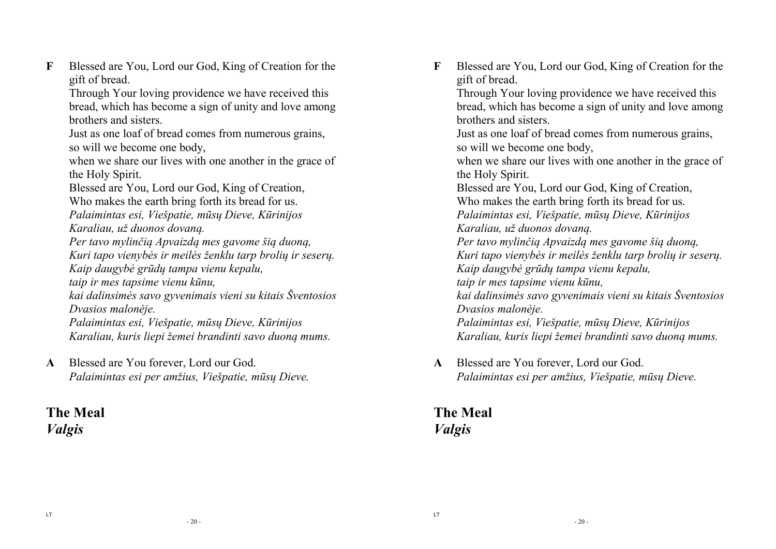**F** Blessed are You, Lord our God, King of Creation for the gift of bread.

 Through Your loving providence we have received this bread, which has become a sign of unity and love among brothers and sisters.

 Just as one loaf of bread comes from numerous grains, so will we become one body,

 when we share our lives with one another in the grace of the Holy Spirit.

Blessed are You, Lord our God, King of Creation,

Who makes the earth bring forth its bread for us.

*Palaimintas esi, Viešpatie, mūsų Dieve, Kūrinijos* 

 *Karaliau, už duonos dovaną.* 

*Per tavo mylinčią Apvaizdą mes gavome šią duoną, Kuri tapo vienybės ir meilės ženklu tarp brolių ir seserų. Kaip daugybė grūdų tampa vienu kepalu,* 

*taip ir mes tapsime vienu kūnu,* 

*kai dalinsimės savo gyvenimais vieni su kitais Šventosios Dvasios malonėje.* 

*Palaimintas esi, Viešpatie, mūsų Dieve, Kūrinijos Karaliau, kuris liepi žemei brandinti savo duoną mums.* 

**A** Blessed are You forever, Lord our God. *Palaimintas esi per amžius, Viešpatie, mūsų Dieve.* 

### **The Meal** *Valgis*

**F** Blessed are You, Lord our God, King of Creation for the gift of bread.

 Through Your loving providence we have received this bread, which has become a sign of unity and love among brothers and sisters.

 Just as one loaf of bread comes from numerous grains, so will we become one body,

 when we share our lives with one another in the grace of the Holy Spirit.

Blessed are You, Lord our God, King of Creation,

Who makes the earth bring forth its bread for us.

*Palaimintas esi, Viešpatie, mūsų Dieve, Kūrinijos* 

 *Karaliau, už duonos dovaną. Per tavo mylinčią Apvaizdą mes gavome šią duoną,* 

*Kuri tapo vienybės ir meilės ženklu tarp brolių ir seserų. Kaip daugybė grūdų tampa vienu kepalu,* 

*taip ir mes tapsime vienu kūnu,* 

*kai dalinsimės savo gyvenimais vieni su kitais Šventosios Dvasios malonėje.* 

*Palaimintas esi, Viešpatie, mūsų Dieve, Kūrinijos Karaliau, kuris liepi žemei brandinti savo duoną mums.* 

**A** Blessed are You forever, Lord our God. *Palaimintas esi per amžius, Viešpatie, mūsų Dieve.* 

## **The Meal** *Valgis*

LT

- 20 -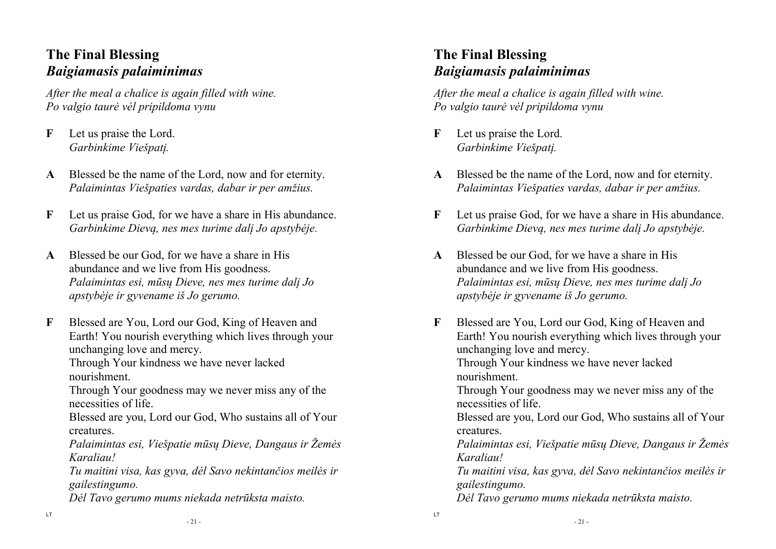## **The Final Blessing** *Baigiamasis palaiminimas*

*After the meal a chalice is again filled with wine.Po valgio taurė vėl pripildoma vynu* 

- **F** Let us praise the Lord. *Garbinkime Viešpatį.*
- **A** Blessed be the name of the Lord, now and for eternity. *Palaimintas Viešpaties vardas, dabar ir per amžius.*
- **F** Let us praise God, for we have a share in His abundance. *Garbinkime Dievą, nes mes turime dalį Jo apstybėje.*
- **A** Blessed be our God, for we have a share in His abundance and we live from His goodness. *Palaimintas esi, mūsų Dieve, nes mes turime dalį Jo apstybėje ir gyvename iš Jo gerumo.*
- **F** Blessed are You, Lord our God, King of Heaven and Earth! You nourish everything which lives through your unchanging love and mercy.

 Through Your kindness we have never lacked nourishment.

Through Your goodness may we never miss any of the necessities of life.

Blessed are you, Lord our God, Who sustains all of Yourcreatures.

*Palaimintas esi, Viešpatie mūsų Dieve, Dangaus ir Žemės Karaliau!* 

*Tu maitini visa, kas gyva, dėl Savo nekintančios meilės ir gailestingumo.* 

*Dėl Tavo gerumo mums niekada netrūksta maisto.* 

# **The Final Blessing** *Baigiamasis palaiminimas*

*After the meal a chalice is again filled with wine.Po valgio taurė vėl pripildoma vynu* 

**F** Let us praise the Lord. *Garbinkime Viešpatį.* 

LT

- **A** Blessed be the name of the Lord, now and for eternity. *Palaimintas Viešpaties vardas, dabar ir per amžius.*
- **F** Let us praise God, for we have a share in His abundance. *Garbinkime Dievą, nes mes turime dalį Jo apstybėje.*
- **A** Blessed be our God, for we have a share in His abundance and we live from His goodness. *Palaimintas esi, mūsų Dieve, nes mes turime dalį Jo apstybėje ir gyvename iš Jo gerumo.*
- **F** Blessed are You, Lord our God, King of Heaven and Earth! You nourish everything which lives through your unchanging love and mercy. Through Your kindness we have never lacked nourishment. Through Your goodness may we never miss any of the necessities of life. Blessed are you, Lord our God, Who sustains all of Yourcreatures. *Palaimintas esi, Viešpatie mūsų Dieve, Dangaus ir Žemės Karaliau! Tu maitini visa, kas gyva, dėl Savo nekintančios meilės ir gailestingumo. Dėl Tavo gerumo mums niekada netrūksta maisto.*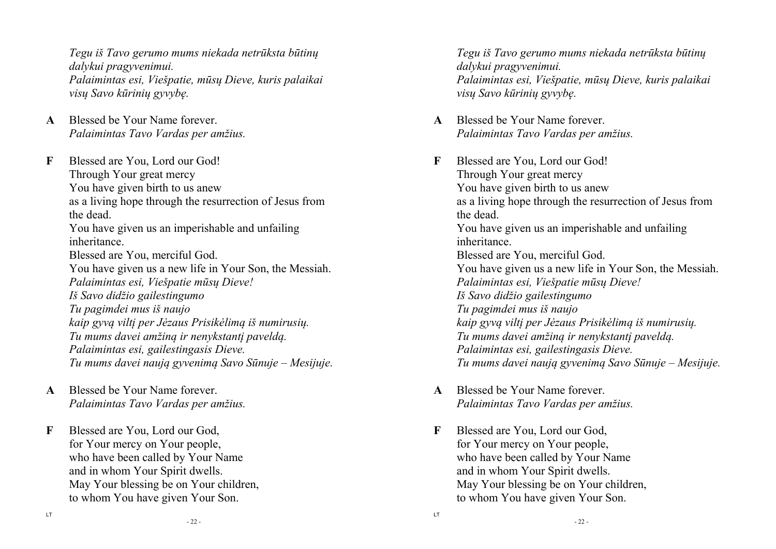*Tegu iš Tavo gerumo mums niekada netrūksta būtinų dalykui pragyvenimui. Palaimintas esi, Viešpatie, mūsų Dieve, kuris palaikai visų Savo kūrinių gyvybę.* 

**A** Blessed be Your Name forever.  *Palaimintas Tavo Vardas per amžius.* 

**F** Blessed are You, Lord our God! Through Your great mercy You have given birth to us anew as a living hope through the resurrection of Jesus from the dead. You have given us an imperishable and unfailing inheritance. Blessed are You, merciful God. You have given us a new life in Your Son, the Messiah. *Palaimintas esi, Viešpatie mūsų Dieve! Iš Savo didžio gailestingumo Tu pagimdei mus iš naujo kaip gyvą viltį per Jėzaus Prisikėlimą iš numirusių. Tu mums davei amžiną ir nenykstantį paveldą. Palaimintas esi, gailestingasis Dieve. Tu mums davei naują gyvenimą Savo Sūnuje – Mesijuje.* 

- **A** Blessed be Your Name forever. *Palaimintas Tavo Vardas per amžius.*
- **F** Blessed are You, Lord our God, for Your mercy on Your people, who have been called by Your Name and in whom Your Spirit dwells. May Your blessing be on Your children, to whom You have given Your Son.

*Tegu iš Tavo gerumo mums niekada netrūksta būtinų dalykui pragyvenimui. Palaimintas esi, Viešpatie, mūsų Dieve, kuris palaikai visų Savo kūrinių gyvybę.* 

- **A** Blessed be Your Name forever.  *Palaimintas Tavo Vardas per amžius.*
- **F** Blessed are You, Lord our God! Through Your great mercy You have given birth to us anew as a living hope through the resurrection of Jesus from the dead. You have given us an imperishable and unfailing inheritance. Blessed are You, merciful God. You have given us a new life in Your Son, the Messiah. *Palaimintas esi, Viešpatie mūsų Dieve! Iš Savo didžio gailestingumo Tu pagimdei mus iš naujo kaip gyvą viltį per Jėzaus Prisikėlimą iš numirusių. Tu mums davei amžiną ir nenykstantį paveldą. Palaimintas esi, gailestingasis Dieve. Tu mums davei naują gyvenimą Savo Sūnuje – Mesijuje.*
- **A** Blessed be Your Name forever. *Palaimintas Tavo Vardas per amžius.*
- **F** Blessed are You, Lord our God, for Your mercy on Your people, who have been called by Your Name and in whom Your Spirit dwells. May Your blessing be on Your children, to whom You have given Your Son.

LT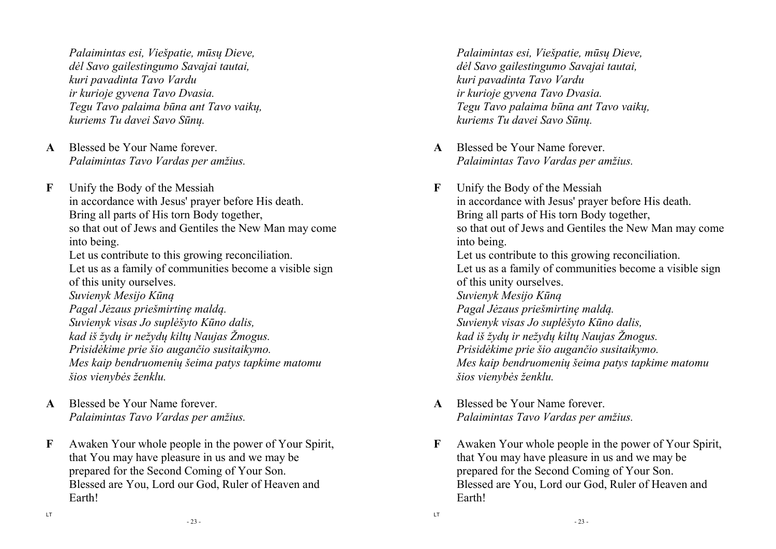*Palaimintas esi, Viešpatie, mūsų Dieve, dėl Savo gailestingumo Savajai tautai, kuri pavadinta Tavo Vardu ir kurioje gyvena Tavo Dvasia. Tegu Tavo palaima būna ant Tavo vaikų, kuriems Tu davei Savo Sūnų.* 

- **A** Blessed be Your Name forever. *Palaimintas Tavo Vardas per amžius.*
- **F** Unify the Body of the Messiah in accordance with Jesus' prayer before His death. Bring all parts of His torn Body together, so that out of Jews and Gentiles the New Man may come into being. Let us contribute to this growing reconciliation. Let us as a family of communities become a visible sign

 of this unity ourselves. *Suvienyk Mesijo Kūną Pagal Jėzaus priešmirtinę maldą. Suvienyk visas Jo suplėšyto Kūno dalis, kad iš žydų ir nežydų kiltų Naujas Žmogus. Prisidėkime prie šio augančio susitaikymo. Mes kaip bendruomenių šeima patys tapkime matomu šios vienybės ženklu.* 

- **A** Blessed be Your Name forever.  *Palaimintas Tavo Vardas per amžius.*
- **F** Awaken Your whole people in the power of Your Spirit, that You may have pleasure in us and we may be prepared for the Second Coming of Your Son. Blessed are You, Lord our God, Ruler of Heaven and Earth!

*Palaimintas esi, Viešpatie, mūsų Dieve, dėl Savo gailestingumo Savajai tautai, kuri pavadinta Tavo Vardu ir kurioje gyvena Tavo Dvasia. Tegu Tavo palaima būna ant Tavo vaikų, kuriems Tu davei Savo Sūnų.* 

- **A** Blessed be Your Name forever. *Palaimintas Tavo Vardas per amžius.*
- **F** Unify the Body of the Messiah in accordance with Jesus' prayer before His death. Bring all parts of His torn Body together, so that out of Jews and Gentiles the New Man may come into being. Let us contribute to this growing reconciliation. Let us as a family of communities become a visible sign of this unity ourselves. *Suvienyk Mesijo Kūną Pagal Jėzaus priešmirtinę maldą. Suvienyk visas Jo suplėšyto Kūno dalis, kad iš žydų ir nežydų kiltų Naujas Žmogus. Prisidėkime prie šio augančio susitaikymo. Mes kaip bendruomenių šeima patys tapkime matomu šios vienybės ženklu.*
- **A** Blessed be Your Name forever.  *Palaimintas Tavo Vardas per amžius.*

LT

**F** Awaken Your whole people in the power of Your Spirit, that You may have pleasure in us and we may be prepared for the Second Coming of Your Son. Blessed are You, Lord our God, Ruler of Heaven and Earth!